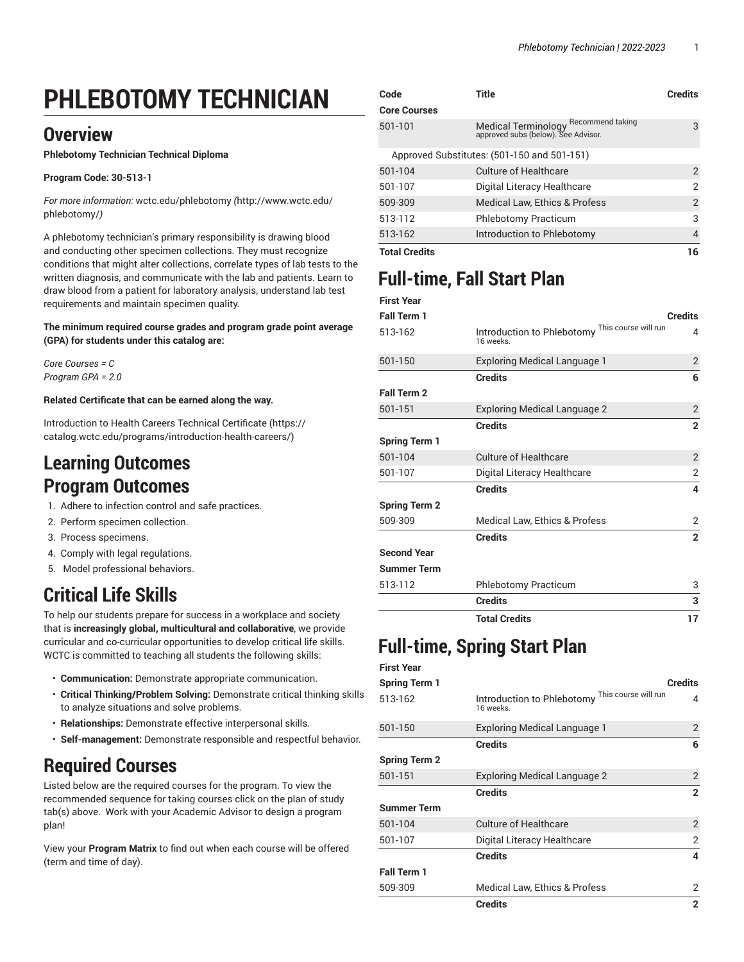# **PHLEBOTOMY TECHNICIAN**

### **Overview**

**Phlebotomy Technician Technical Diploma**

#### **Program Code: 30-513-1**

*For more information:* [wctc.edu/phlebotomy](http://www.wctc.edu/phlebotomy/) *(*[http://www.wctc.edu/](http://www.wctc.edu/phlebotomy/) [phlebotomy/](http://www.wctc.edu/phlebotomy/)*)*

A phlebotomy technician's primary responsibility is drawing blood and conducting other specimen collections. They must recognize conditions that might alter collections, correlate types of lab tests to the written diagnosis, and communicate with the lab and patients. Learn to draw blood from a patient for laboratory analysis, understand lab test requirements and maintain specimen quality.

**The minimum required course grades and program grade point average (GPA) for students under this catalog are:**

*Core Courses = C Program GPA = 2.0*

#### **Related Certificate that can be earned along the way.**

[Introduction](https://catalog.wctc.edu/programs/introduction-health-careers/) to Health Careers Technical Certificate [\(https://](https://catalog.wctc.edu/programs/introduction-health-careers/) [catalog.wctc.edu/programs/introduction-health-careers/\)](https://catalog.wctc.edu/programs/introduction-health-careers/)

### **Learning Outcomes Program Outcomes**

- 1. Adhere to infection control and safe practices.
- 2. Perform specimen collection.
- 3. Process specimens.
- 4. Comply with legal regulations.
- 5. Model professional behaviors.

# **Critical Life Skills**

To help our students prepare for success in a workplace and society that is **increasingly global, multicultural and collaborative**, we provide curricular and co-curricular opportunities to develop critical life skills. WCTC is committed to teaching all students the following skills:

- **Communication:** Demonstrate appropriate communication.
- **Critical Thinking/Problem Solving:** Demonstrate critical thinking skills to analyze situations and solve problems.
- **Relationships:** Demonstrate effective interpersonal skills.
- **Self-management:** Demonstrate responsible and respectful behavior.

## **Required Courses**

Listed below are the required courses for the program. To view the recommended sequence for taking courses click on the plan of study tab(s) above. Work with your Academic Advisor to design a program plan!

View your **Program Matrix** to find out when each course will be offered (term and time of day).

| <b>Total Credits</b> |                                                                                                   | 16             |
|----------------------|---------------------------------------------------------------------------------------------------|----------------|
| 513-162              | Introduction to Phlebotomy                                                                        | 4              |
| 513-112              | <b>Phlebotomy Practicum</b>                                                                       | 3              |
| 509-309              | Medical Law, Ethics & Profess                                                                     | $\overline{2}$ |
| 501-107              | Digital Literacy Healthcare                                                                       | 2              |
| 501-104              | Culture of Healthcare                                                                             | $\overline{2}$ |
|                      | Approved Substitutes: (501-150 and 501-151)                                                       |                |
| 501-101              | Recommend taking<br>Medical Terminology <sup>Recomme</sup><br>approved subs (below). See Advisor. | 3              |
| <b>Core Courses</b>  |                                                                                                   |                |
| Code                 | Title                                                                                             | <b>Credits</b> |

## **Full-time, Fall Start Plan**

| <b>First Year</b>    |                                                             |                |
|----------------------|-------------------------------------------------------------|----------------|
| <b>Fall Term 1</b>   |                                                             | <b>Credits</b> |
| 513-162              | Introduction to Phlebotomy This course will run<br>16 weeks | 4              |
| 501-150              | <b>Exploring Medical Language 1</b>                         | $\overline{2}$ |
|                      | <b>Credits</b>                                              | 6              |
| Fall Term 2          |                                                             |                |
| 501-151              | <b>Exploring Medical Language 2</b>                         | $\overline{2}$ |
|                      | <b>Credits</b>                                              | $\overline{2}$ |
| <b>Spring Term 1</b> |                                                             |                |
| 501-104              | <b>Culture of Healthcare</b>                                | $\overline{2}$ |
| 501-107              | Digital Literacy Healthcare                                 | 2              |
|                      | <b>Credits</b>                                              | 4              |
| <b>Spring Term 2</b> |                                                             |                |
| 509-309              | Medical Law, Ethics & Profess                               | 2              |
|                      | <b>Credits</b>                                              | $\overline{2}$ |
| <b>Second Year</b>   |                                                             |                |
| <b>Summer Term</b>   |                                                             |                |
| 513-112              | <b>Phlebotomy Practicum</b>                                 | 3              |
|                      | <b>Credits</b>                                              | 3              |
|                      | <b>Total Credits</b>                                        | 17             |

## **Full-time, Spring Start Plan**

**First Year**

| Spring Term 1        |                                                              | <b>Credits</b> |
|----------------------|--------------------------------------------------------------|----------------|
| 513-162              | Introduction to Phlebotomy This course will run<br>16 weeks. | 4              |
| 501-150              | <b>Exploring Medical Language 1</b>                          | $\overline{2}$ |
|                      | <b>Credits</b>                                               | 6              |
| <b>Spring Term 2</b> |                                                              |                |
| 501-151              | <b>Exploring Medical Language 2</b>                          | 2              |
|                      | <b>Credits</b>                                               | $\overline{2}$ |
| Summer Term          |                                                              |                |
| 501-104              | <b>Culture of Healthcare</b>                                 | 2              |
| 501-107              | Digital Literacy Healthcare                                  | 2              |
|                      | <b>Credits</b>                                               | 4              |
| <b>Fall Term 1</b>   |                                                              |                |
| 509-309              | Medical Law, Ethics & Profess                                | 2              |
|                      | <b>Credits</b>                                               | $\overline{2}$ |
|                      |                                                              |                |